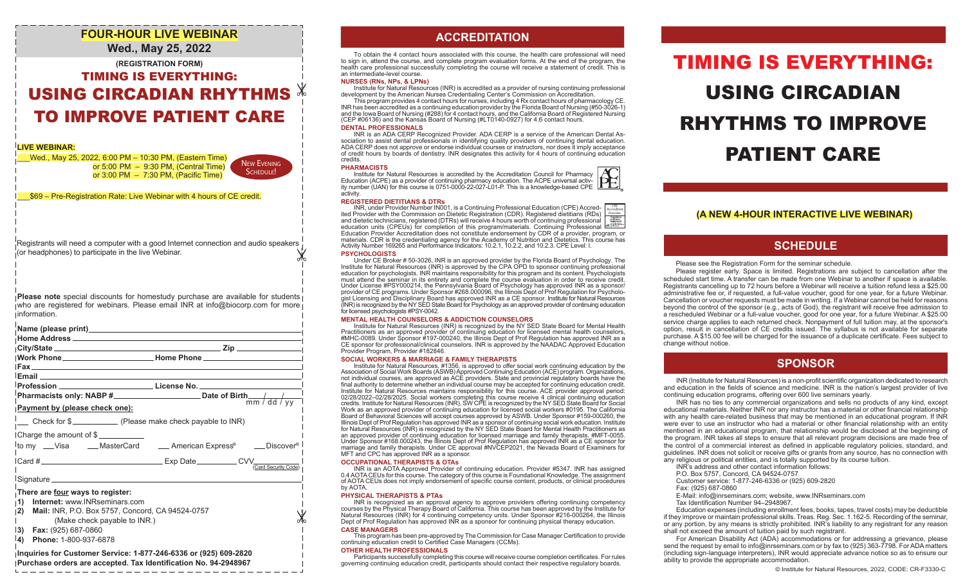# **FOUR-HOUR LIVE WEBINAR Wed., May 25, 2022**

# **(REGISTRATION FORM)** TIMING IS EVERYTHING: USING CIRCADIAN RHYTHMS TO IMPROVE PATIENT CARE

## **LIVE WEBINAR:**

\_\_\_Wed., May 25, 2022, 6:00 PM – 10:30 PM, (Eastern Time) or 5:00  PM – 9:30 PM, (Central Time) or 3:00 PM – 7:30 PM, (Pacific Time)

SCHEDULE!

₩

\_\_\_\$69 – Pre-Registration Rate: Live Webinar with 4 hours of CE credit.

X Registrants will need a computer with a good Internet connection and audio speakers (or headphones) to participate in the live Webinar.

**Please note** special discounts for homestudy purchase are available for students who are registered for webinars. Please email INR at info@biocorp.com for more information.

| Payment by (please check one):                                                                                                                                                                                                   |                                                                                                     |
|----------------------------------------------------------------------------------------------------------------------------------------------------------------------------------------------------------------------------------|-----------------------------------------------------------------------------------------------------|
| __ Check for \$________________ (Please make check payable to INR)                                                                                                                                                               |                                                                                                     |
| Charge the amount of \$                                                                                                                                                                                                          | <sup>1</sup> to my __Visa ____MasterCard ____American Express <sup>®</sup> ___Discover <sup>®</sup> |
|                                                                                                                                                                                                                                  |                                                                                                     |
| There are four ways to register:<br>Internet: www.INRseminars.com<br>1)<br>Mail: INR, P.O. Box 5757, Concord, CA 94524-0757<br> 2)<br>(Make check payable to INR.)<br>I3)<br>Fax: (925) 687-0860<br> 4)<br>Phone: 1-800-937-6878 |                                                                                                     |

#### **Inquiries for Customer Service: 1-877-246-6336 or (925) 609-2820 Purchase orders are accepted. Tax Identification No. 94-2948967**

# **ACCREDITATION ACCREDITATION**

To obtain the 4 contact hours associated with this course, the health care professional will need to sign in, attend the course, and complete program evaluation forms. At the end of the program, the health care professional successfully completing the course will receive a statement of credit. This is an intermediate-level course.

#### **NURSES (RNs, NPs, & LPNs)**

Institute for Natural Resources (INR) is accredited as a provider of nursing continuing professional development by the American Nurses Credentialing Center's Commission on Accreditation.

This program provides 4 contact hours for nurses, including 4 Rx contact hours of pharmacology CE. INR has been accredited as a continuing education provider by the Florida Board of Nursing (#50-3026-1) and the Iowa Board of Nursing (#288) for 4 contact hours, and the California Board of Registered Nursing (CEP #06136) and the Kansas Board of Nursing (#LT0140-0927) for 4.6 contact hours.

#### **DENTAL PROFESSIONALS**

INR is an ADA CERP Recognized Provider. ADA CERP is a service of the American Dental As-sociation to assist dental professionals in identifying quality providers of continuing dental education. New Evening Network of Capital Courses of dentistry. INR designates this activity for 4 hours of continuing education<br>
New Evening Network **PATIENT CARE** credits.

#### **PHARMACISTS**

Institute for Natural Resources is accredited by the Accreditation Council for Pharmacy Education (ACPE) as a provider of continuing pharmacy education. The ACPE universal activ-ity number (UAN) for this course is 0751-0000-22-027-L01-P. This is a knowledge-based CPE activity.



INR, under Provider Number IN001, is a Continuing Professional Education (CPE) Accredited Provider with the Commission on Dietetic Registration (CDR). Registered dietitians (RDs) and dietetic technicians, registered (DTRs) will receive 4 hours worth of continuing professional  $\left| \right|$ <br>education units (CPEUs) for completion of this program/materials. Continuing Professional  $\left| \right|$ <br>Education Provid CPE Accredited Provider

#### **PSYCHOLOGISTS**

Under CE Broker # 50-3026, INR is an approved provider by the Florida Board of Psychology. The Institute for Natural Resources (INR) is approved by the CPA OPD to sponsor continuing professional education for psychologists. INR maintains responsibility for this program and its content. Psychologists must attend the seminar in its entirety and complete the course evaluation in order to receive credit.<br>Under License #PSY000214, the Pennsylvania Board of Psychology has approved INR as a sponsor/<br>provider of CE programs. (INR) is recognized by the NY SED State Board for Psychology as an approved provider of continuing education for licensed psychologists #PSY-0042.

## **MENTAL HEALTH COUNSELORS & ADDICTION COUNSELORS**

Institute for Natural Resources (INR) is recognized by the NY SED State Board for Mental Health Practitioners as an approved provider of continuing education for licensed mental health counselors, #MHC-0089. Under Sponsor #197-000240, the Illinois Dept of Prof Regulation has approved INR as a CE sponsor for professional/clinical counselors. INR is approved by the NAADAC Approved Education Provider Program, Provider #182846.

#### **SOCIAL WORKERS & MARRIAGE & FAMILY THERAPISTS**

Institute for Natural Resources, #1356, is approved to offer social work continuing education by the<br>Association of Social Work Boards (ASWB) Approved Continuing Education (ACE) program. Organizations,<br>Inot individual cour final authority to determine whether an individual course may be accepted for continuing education credit. Institute for Natural Resources maintains responsibility for this course. ACE provider approval period:<br>02/28/2022–02/28/2025. Social workers completing this course receive 4 clinical continuing education<br>credits. Institut Work as an approved provider of continuing education for licensed social workers #0195. The California Board of Behavioral Sciences will accept courses approved by ASWB. Under Sponsor #159-000260, the Illinois Dept of Prof Regulation has approved INR as a sponsor of continuing social work education. Institute for Natural Resources (INR) is recognized by the NY SED State Board for Mental Health Practitioners as an approved provider of continuing education for licensed marriage and family therapists. #MFT-0055. Under Sponsor #168.000243, the Illinois Dept of Prof Regulation has approved INR as a CE sponsor for marriage and family therapists. Under CE approval #NVCEP2021, the Nevada Board of Examiners for MFT and CPC has approved INR as a sponsor.

#### **OCCUPATIONAL THERAPISTS & OTAs**

INR is an AOTA Approved Provider of continuing education. Provider #5347. INR has assigned 0.4AOTA CEUs for this course. The category of this course is Foundational Knowledge. The assignment of AOTA CEUs does not imply endorsement of specific course content, products, or clinical procedures by AOTA.

#### **PHYSICAL THERAPISTS & PTAs**

INR is recognized as an approval agency to approve providers offering continuing competency courses by the Physical Therapy Board of California. This course has been approved by the Institute for Natural Resources (INR) for 4 continuing competency units. Under Sponsor #216-000264, the Illinois Dept of Prof Regulation has approved INR as a sponsor for continuing physical therapy education. **CASE MANAGERS**

# This program has been pre-approved by The Commission for Case Manager Certification to provide continuing education credit to Certified Case Managers (CCMs).

#### **OTHER HEALTH PROFESSIONALS**

Participants successfully completing this course will receive course completion certificates. For rules governing continuing education credit, participants should contact their respective regulatory boards.

# TIMING IS EVERYTHING: USING CIRCADIAN RHYTHMS TO IMPROVE

## **(A NEW 4-HOUR INTERACTIVE LIVE WEBINAR)**

# **SCHEDULE**

Please see the Registration Form for the seminar schedule.

 Please register early. Space is limited. Registrations are subject to cancellation after the scheduled start time. A transfer can be made from one Webinar to another if space is available. Registrants cancelling up to 72 hours before a Webinar will receive a tuition refund less a \$25.00 administrative fee or, if requested, a full-value voucher, good for one year, for a future Webinar. Cancellation or voucher requests must be made in writing. If a Webinar cannot be held for reasons beyond the control of the sponsor (e.g., acts of God), the registrant will receive free admission to a rescheduled Webinar or a full-value voucher, good for one year, for a future Webinar. A \$25.00 service charge applies to each returned check. Nonpayment of full tuition may, at the sponsor's option, result in cancellation of CE credits issued. The syllabus is not available for separate purchase. A \$15.00 fee will be charged for the issuance of a duplicate certificate. Fees subject to change without notice.

# **SPONSOR**

INR (Institute for Natural Resources) is a non-profit scientific organization dedicated to research and education in the fields of science and medicine. INR is the nation's largest provider of live continuing education programs, offering over 600 live seminars yearly.

 INR has no ties to any commercial organizations and sells no products of any kind, except educational materials. Neither INR nor any instructor has a material or other financial relationship with any health care-related business that may be mentioned in an educational program. If INR were ever to use an instructor who had a material or other financial relationship with an entity mentioned in an educational program, that relationship would be disclosed at the beginning of the program. INR takes all steps to ensure that all relevant program decisions are made free of the control of a commercial interest as defined in applicable regulatory policies, standard, and guidelines. INR does not solicit or receive gifts or grants from any source, has no connection with any religious or political entities, and is totally supported by its course tuition.

- INR's address and other contact information follows:
- P.O. Box 5757, Concord, CA 94524-0757
- Customer service: 1-877-246-6336 or (925) 609-2820
- Fax: (925) 687-0860
- E-Mail: info@inrseminars.com; website, www.INRseminars.com
- Tax Identification Number 94–2948967.

 Education expenses (including enrollment fees, books, tapes, travel costs) may be deductible if they improve or maintain professional skills. Treas. Reg. Sec. 1.162-5. Recording of the seminar, or any portion, by any means is strictly prohibited. INR's liability to any registrant for any reason shall not exceed the amount of tuition paid by such registrant.

 For American Disability Act (ADA) accommodations or for addressing a grievance, please send the request by email to info@inrseminars.com or by fax to (925) 363-7798. For ADA matters (including sign-language interpreters), INR would appreciate advance notice so as to ensure our ability to provide the appropriate accommodation.